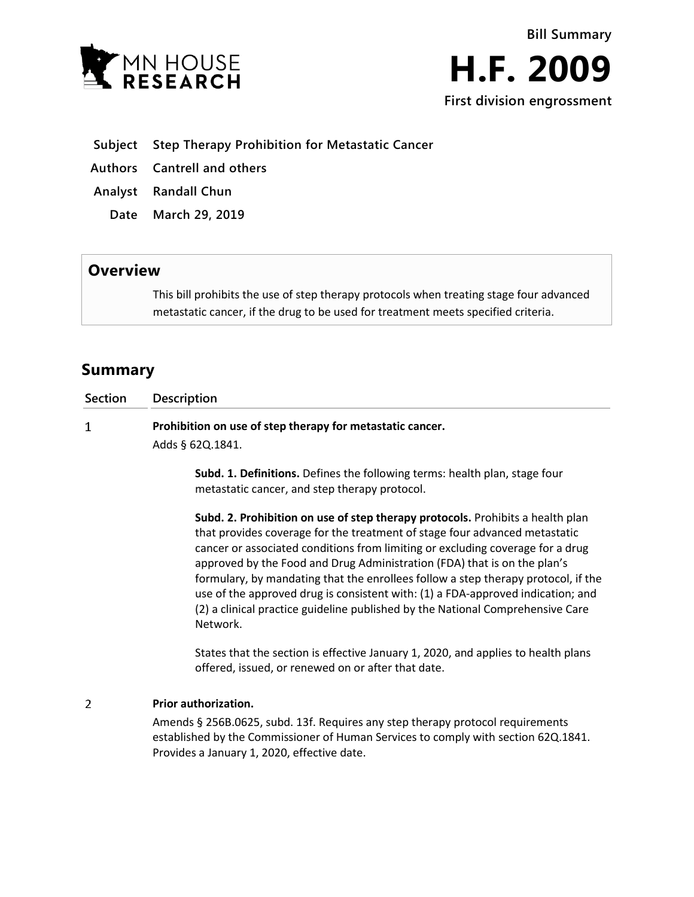



- **Subject Step Therapy Prohibition for Metastatic Cancer**
- **Authors Cantrell and others**
- **Analyst Randall Chun**
	- **Date March 29, 2019**

## **Overview**

This bill prohibits the use of step therapy protocols when treating stage four advanced metastatic cancer, if the drug to be used for treatment meets specified criteria.

## **Summary**

| <b>Section</b> | <b>Description</b>                                                               |
|----------------|----------------------------------------------------------------------------------|
|                | Prohibition on use of step therapy for metastatic cancer.                        |
|                | Adds § 620.1841.                                                                 |
|                | <b>Cubd. 1. Definitions</b> Defines the following terms: boolth plan, stage four |

**Subd. 1. Definitions.** Defines the following terms: health plan, stage four metastatic cancer, and step therapy protocol.

**Subd. 2. Prohibition on use of step therapy protocols.** Prohibits a health plan that provides coverage for the treatment of stage four advanced metastatic cancer or associated conditions from limiting or excluding coverage for a drug approved by the Food and Drug Administration (FDA) that is on the plan's formulary, by mandating that the enrollees follow a step therapy protocol, if the use of the approved drug is consistent with: (1) a FDA-approved indication; and (2) a clinical practice guideline published by the National Comprehensive Care Network.

States that the section is effective January 1, 2020, and applies to health plans offered, issued, or renewed on or after that date.

## $\overline{2}$ **Prior authorization.**

Amends § 256B.0625, subd. 13f. Requires any step therapy protocol requirements established by the Commissioner of Human Services to comply with section 62Q.1841. Provides a January 1, 2020, effective date.